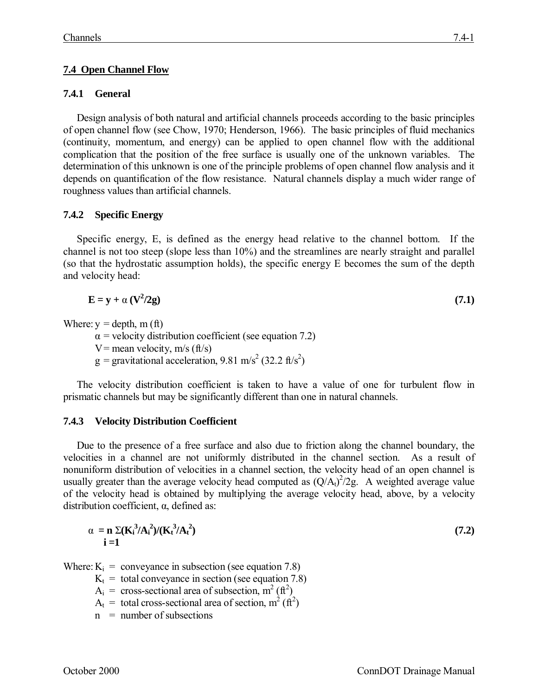# **7.4 Open Channel Flow**

# **7.4.1 General**

Design analysis of both natural and artificial channels proceeds according to the basic principles of open channel flow (see Chow, 1970; Henderson, 1966). The basic principles of fluid mechanics (continuity, momentum, and energy) can be applied to open channel flow with the additional complication that the position of the free surface is usually one of the unknown variables. The determination of this unknown is one of the principle problems of open channel flow analysis and it depends on quantification of the flow resistance. Natural channels display a much wider range of roughness values than artificial channels.

### **7.4.2 Specific Energy**

Specific energy, E, is defined as the energy head relative to the channel bottom. If the channel is not too steep (slope less than 10%) and the streamlines are nearly straight and parallel (so that the hydrostatic assumption holds), the specific energy E becomes the sum of the depth and velocity head:

$$
E = y + \alpha (V^2 / 2g) \tag{7.1}
$$

Where:  $y = depth$ , m (ft)

 $\alpha$  = velocity distribution coefficient (see equation 7.2)

- V = mean velocity,  $m/s$  (ft/s)
- $g =$  gravitational acceleration, 9.81 m/s<sup>2</sup> (32.2 ft/s<sup>2</sup>)

The velocity distribution coefficient is taken to have a value of one for turbulent flow in prismatic channels but may be significantly different than one in natural channels.

### **7.4.3 Velocity Distribution Coefficient**

Due to the presence of a free surface and also due to friction along the channel boundary, the velocities in a channel are not uniformly distributed in the channel section. As a result of nonuniform distribution of velocities in a channel section, the velocity head of an open channel is usually greater than the average velocity head computed as  $(Q/A<sub>t</sub>)<sup>2</sup>/2g$ . A weighted average value of the velocity head is obtained by multiplying the average velocity head, above, by a velocity distribution coefficient, α, defined as:

$$
\alpha = \mathbf{n} \Sigma (\mathbf{K}_i^3 / \mathbf{A}_i^2) / (\mathbf{K}_i^3 / \mathbf{A}_i^2)
$$
\n
$$
\mathbf{i} = \mathbf{1}
$$
\n(7.2)

Where:  $K_i$  = conveyance in subsection (see equation 7.8)

 $K_t$  = total conveyance in section (see equation 7.8)

 $A_i$  = cross-sectional area of subsection,  $m^2$  (ft<sup>2</sup>)

- $A_t$  = total cross-sectional area of section, m<sup>2</sup> (ft<sup>2</sup>)
- $n =$  number of subsections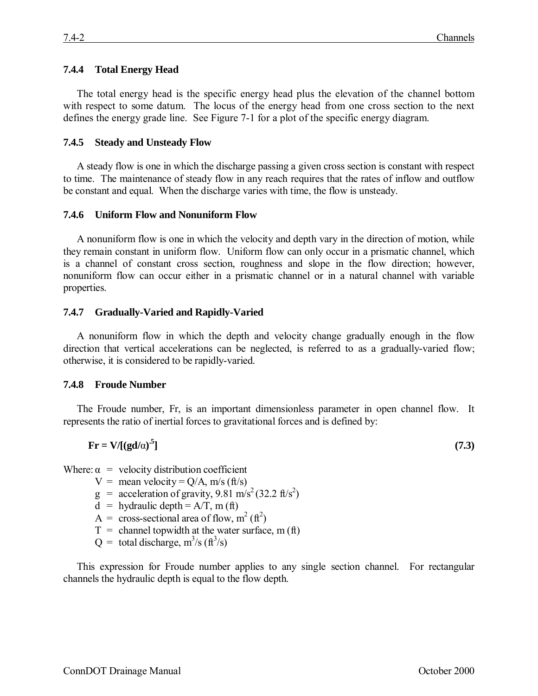### **7.4.4 Total Energy Head**

The total energy head is the specific energy head plus the elevation of the channel bottom with respect to some datum. The locus of the energy head from one cross section to the next defines the energy grade line. See Figure 7-1 for a plot of the specific energy diagram.

#### **7.4.5 Steady and Unsteady Flow**

A steady flow is one in which the discharge passing a given cross section is constant with respect to time. The maintenance of steady flow in any reach requires that the rates of inflow and outflow be constant and equal. When the discharge varies with time, the flow is unsteady.

### **7.4.6 Uniform Flow and Nonuniform Flow**

A nonuniform flow is one in which the velocity and depth vary in the direction of motion, while they remain constant in uniform flow. Uniform flow can only occur in a prismatic channel, which is a channel of constant cross section, roughness and slope in the flow direction; however, nonuniform flow can occur either in a prismatic channel or in a natural channel with variable properties.

### **7.4.7 Gradually-Varied and Rapidly-Varied**

A nonuniform flow in which the depth and velocity change gradually enough in the flow direction that vertical accelerations can be neglected, is referred to as a gradually-varied flow; otherwise, it is considered to be rapidly-varied.

#### **7.4.8 Froude Number**

The Froude number, Fr, is an important dimensionless parameter in open channel flow. It represents the ratio of inertial forces to gravitational forces and is defined by:

$$
\mathbf{Fr} = \mathbf{V} / [(\mathbf{gd}/\alpha)^5] \tag{7.3}
$$

Where:  $\alpha$  = velocity distribution coefficient

- $V =$  mean velocity = Q/A, m/s (ft/s)
- $g = \text{acceleration of gravity}, 9.81 \text{ m/s}^2 (32.2 \text{ ft/s}^2)$
- $d =$  hydraulic depth = A/T, m (ft)
- $A = \text{cross-sectional area of flow, m}^2 \text{ (ft}^2)$
- $T =$  channel topwidth at the water surface, m (ft)

 $Q =$  total discharge, m<sup>3</sup>/s (ft<sup>3</sup>/s)

This expression for Froude number applies to any single section channel. For rectangular channels the hydraulic depth is equal to the flow depth.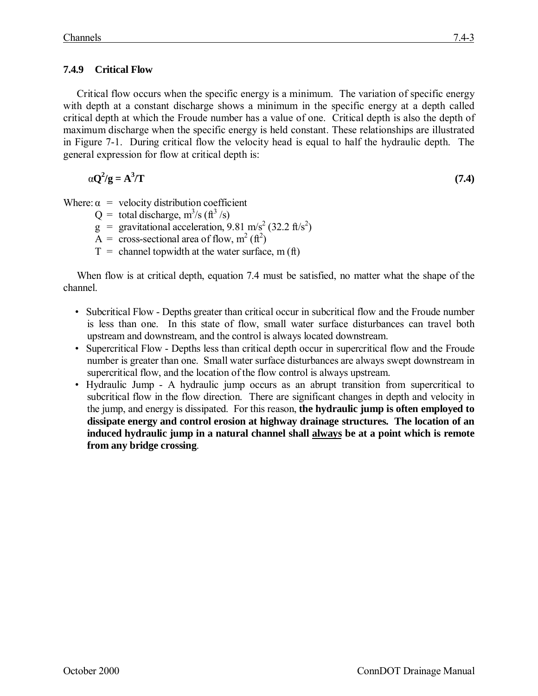# **7.4.9 Critical Flow**

Critical flow occurs when the specific energy is a minimum. The variation of specific energy with depth at a constant discharge shows a minimum in the specific energy at a depth called critical depth at which the Froude number has a value of one. Critical depth is also the depth of maximum discharge when the specific energy is held constant. These relationships are illustrated in Figure 7-1. During critical flow the velocity head is equal to half the hydraulic depth. The general expression for flow at critical depth is:

$$
\alpha \mathbf{Q}^2/\mathbf{g} = \mathbf{A}^3/\mathbf{T} \tag{7.4}
$$

Where:  $\alpha$  = velocity distribution coefficient

- $Q =$  total discharge, m<sup>3</sup>/s (ft<sup>3</sup>/s)
- $g =$  gravitational acceleration, 9.81 m/s<sup>2</sup> (32.2 ft/s<sup>2</sup>)
- $\tilde{A} = \tilde{c}$  ross-sectional area of flow, m<sup>2</sup> (ft<sup>2</sup>)
- $T =$  channel topwidth at the water surface, m (ft)

When flow is at critical depth, equation 7.4 must be satisfied, no matter what the shape of the channel.

- Subcritical Flow Depths greater than critical occur in subcritical flow and the Froude number is less than one. In this state of flow, small water surface disturbances can travel both upstream and downstream, and the control is always located downstream.
- Supercritical Flow Depths less than critical depth occur in supercritical flow and the Froude number is greater than one. Small water surface disturbances are always swept downstream in supercritical flow, and the location of the flow control is always upstream.
- Hydraulic Jump A hydraulic jump occurs as an abrupt transition from supercritical to subcritical flow in the flow direction. There are significant changes in depth and velocity in the jump, and energy is dissipated. For this reason, **the hydraulic jump is often employed to dissipate energy and control erosion at highway drainage structures. The location of an induced hydraulic jump in a natural channel shall always be at a point which is remote from any bridge crossing**.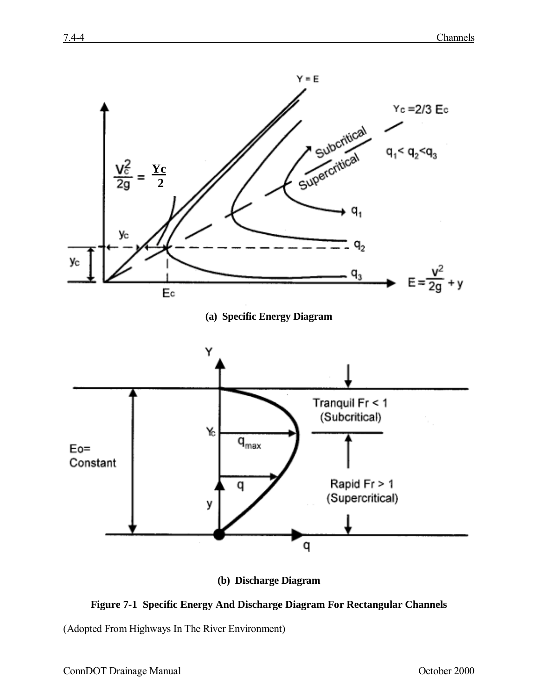

**(b) Discharge Diagram**



(Adopted From Highways In The River Environment)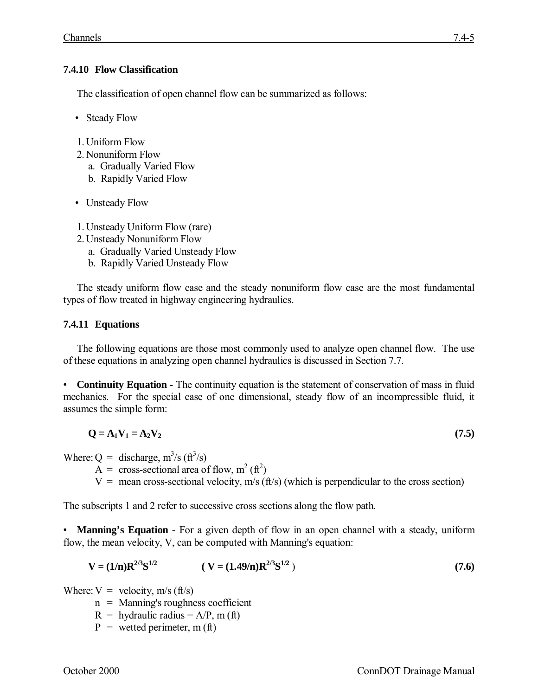# **7.4.10 Flow Classification**

The classification of open channel flow can be summarized as follows:

- Steady Flow
- 1. Uniform Flow
- 2. Nonuniform Flow
	- a. Gradually Varied Flow
	- b. Rapidly Varied Flow
- Unsteady Flow
- 1. Unsteady Uniform Flow (rare)
- 2. Unsteady Nonuniform Flow
	- a. Gradually Varied Unsteady Flow
	- b. Rapidly Varied Unsteady Flow

The steady uniform flow case and the steady nonuniform flow case are the most fundamental types of flow treated in highway engineering hydraulics.

# **7.4.11 Equations**

The following equations are those most commonly used to analyze open channel flow. The use of these equations in analyzing open channel hydraulics is discussed in Section 7.7.

• **Continuity Equation** - The continuity equation is the statement of conservation of mass in fluid mechanics. For the special case of one dimensional, steady flow of an incompressible fluid, it assumes the simple form:

$$
\mathbf{Q} = \mathbf{A}_1 \mathbf{V}_1 = \mathbf{A}_2 \mathbf{V}_2 \tag{7.5}
$$

Where:  $Q =$  discharge, m<sup>3</sup>/s (ft<sup>3</sup>/s)

 $A = \text{cross-sectional area of flow, m}^2 \text{ (ft}^2)$ 

 $V =$  mean cross-sectional velocity, m/s (ft/s) (which is perpendicular to the cross section)

The subscripts 1 and 2 refer to successive cross sections along the flow path.

• **Manning's Equation** - For a given depth of flow in an open channel with a steady, uniform flow, the mean velocity, V, can be computed with Manning's equation:

$$
V = (1/n)R^{2/3}S^{1/2} \t\t (V = (1.49/n)R^{2/3}S^{1/2}) \t(7.6)
$$

Where:  $V =$  velocity, m/s (ft/s)

- n = Manning's roughness coefficient
- $R =$  hydraulic radius = A/P, m (ft)
- $P =$  wetted perimeter, m (ft)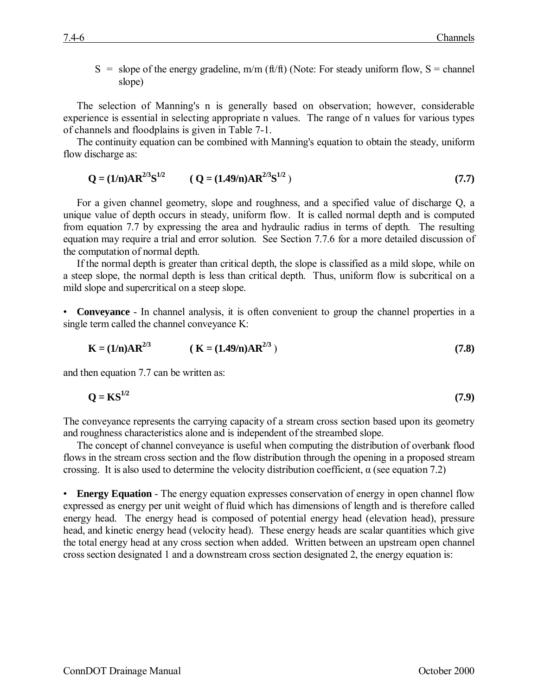S = slope of the energy gradeline, m/m (ft/ft) (Note: For steady uniform flow, S = channel slope)

The selection of Manning's n is generally based on observation; however, considerable experience is essential in selecting appropriate n values. The range of n values for various types of channels and floodplains is given in Table 7-1.

The continuity equation can be combined with Manning's equation to obtain the steady, uniform flow discharge as:

$$
Q = (1/n)AR^{2/3}S^{1/2} \t (Q = (1.49/n)AR^{2/3}S^{1/2}) \t (7.7)
$$

For a given channel geometry, slope and roughness, and a specified value of discharge Q, a unique value of depth occurs in steady, uniform flow. It is called normal depth and is computed from equation 7.7 by expressing the area and hydraulic radius in terms of depth. The resulting equation may require a trial and error solution. See Section 7.7.6 for a more detailed discussion of the computation of normal depth.

If the normal depth is greater than critical depth, the slope is classified as a mild slope, while on a steep slope, the normal depth is less than critical depth. Thus, uniform flow is subcritical on a mild slope and supercritical on a steep slope.

• **Conveyance** - In channel analysis, it is often convenient to group the channel properties in a single term called the channel conveyance K:

$$
K = (1/n)AR^{2/3} \qquad (K = (1.49/n)AR^{2/3})
$$
\n(7.8)

and then equation 7.7 can be written as:

$$
Q = KS^{1/2} \tag{7.9}
$$

The conveyance represents the carrying capacity of a stream cross section based upon its geometry and roughness characteristics alone and is independent of the streambed slope.

The concept of channel conveyance is useful when computing the distribution of overbank flood flows in the stream cross section and the flow distribution through the opening in a proposed stream crossing. It is also used to determine the velocity distribution coefficient,  $\alpha$  (see equation 7.2)

• **Energy Equation** - The energy equation expresses conservation of energy in open channel flow expressed as energy per unit weight of fluid which has dimensions of length and is therefore called energy head. The energy head is composed of potential energy head (elevation head), pressure head, and kinetic energy head (velocity head). These energy heads are scalar quantities which give the total energy head at any cross section when added. Written between an upstream open channel cross section designated 1 and a downstream cross section designated 2, the energy equation is: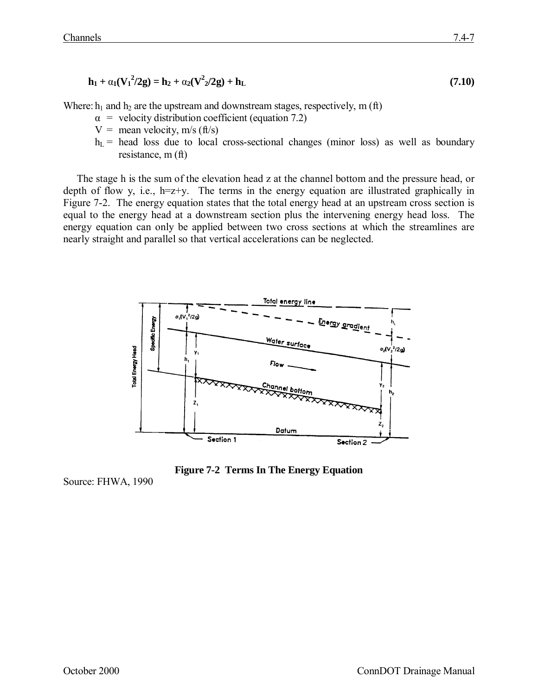$$
\mathbf{h}_1 + \alpha_1 (\mathbf{V}_1^2 / 2 \mathbf{g}) = \mathbf{h}_2 + \alpha_2 (\mathbf{V}^2 / 2 \mathbf{g}) + \mathbf{h}_L \tag{7.10}
$$

Where:  $h_1$  and  $h_2$  are the upstream and downstream stages, respectively, m (ft)

- $\alpha$  = velocity distribution coefficient (equation 7.2)
- $V =$  mean velocity, m/s (ft/s)
- $h<sub>L</sub>$  = head loss due to local cross-sectional changes (minor loss) as well as boundary resistance, m (ft)

The stage h is the sum of the elevation head z at the channel bottom and the pressure head, or depth of flow y, i.e.,  $h=z+y$ . The terms in the energy equation are illustrated graphically in Figure 7-2. The energy equation states that the total energy head at an upstream cross section is equal to the energy head at a downstream section plus the intervening energy head loss. The energy equation can only be applied between two cross sections at which the streamlines are nearly straight and parallel so that vertical accelerations can be neglected.



**Figure 7-2 Terms In The Energy Equation**

Source: FHWA, 1990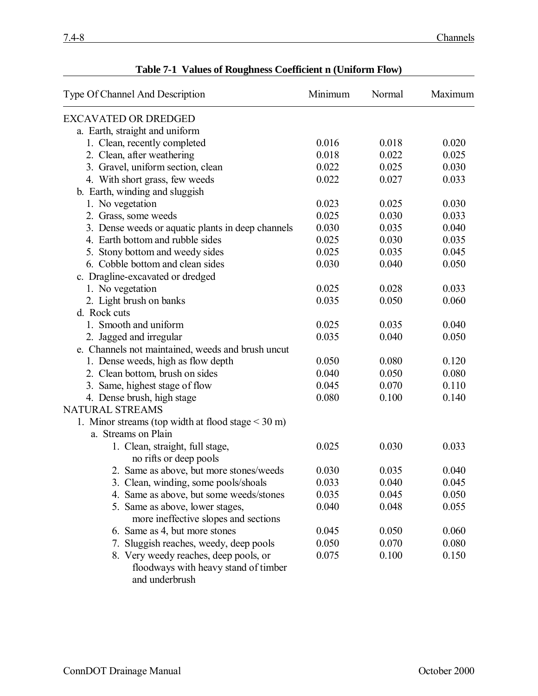| Type Of Channel And Description                         | Minimum | Normal | Maximum |
|---------------------------------------------------------|---------|--------|---------|
| <b>EXCAVATED OR DREDGED</b>                             |         |        |         |
| a. Earth, straight and uniform                          |         |        |         |
| 1. Clean, recently completed                            | 0.016   | 0.018  | 0.020   |
| 2. Clean, after weathering                              | 0.018   | 0.022  | 0.025   |
| 3. Gravel, uniform section, clean                       | 0.022   | 0.025  | 0.030   |
| 4. With short grass, few weeds                          | 0.022   | 0.027  | 0.033   |
| b. Earth, winding and sluggish                          |         |        |         |
| 1. No vegetation                                        | 0.023   | 0.025  | 0.030   |
| 2. Grass, some weeds                                    | 0.025   | 0.030  | 0.033   |
| 3. Dense weeds or aquatic plants in deep channels       | 0.030   | 0.035  | 0.040   |
| 4. Earth bottom and rubble sides                        | 0.025   | 0.030  | 0.035   |
| 5. Stony bottom and weedy sides                         | 0.025   | 0.035  | 0.045   |
| 6. Cobble bottom and clean sides                        | 0.030   | 0.040  | 0.050   |
| c. Dragline-excavated or dredged                        |         |        |         |
| 1. No vegetation                                        | 0.025   | 0.028  | 0.033   |
| 2. Light brush on banks                                 | 0.035   | 0.050  | 0.060   |
| d. Rock cuts                                            |         |        |         |
| 1. Smooth and uniform                                   | 0.025   | 0.035  | 0.040   |
| 2. Jagged and irregular                                 | 0.035   | 0.040  | 0.050   |
| e. Channels not maintained, weeds and brush uncut       |         |        |         |
| 1. Dense weeds, high as flow depth                      | 0.050   | 0.080  | 0.120   |
| 2. Clean bottom, brush on sides                         | 0.040   | 0.050  | 0.080   |
| 3. Same, highest stage of flow                          | 0.045   | 0.070  | 0.110   |
| 4. Dense brush, high stage                              | 0.080   | 0.100  | 0.140   |
| <b>NATURAL STREAMS</b>                                  |         |        |         |
| 1. Minor streams (top width at flood stage $\leq$ 30 m) |         |        |         |
| a. Streams on Plain                                     |         |        |         |
| 1. Clean, straight, full stage,                         | 0.025   | 0.030  | 0.033   |
| no rifts or deep pools                                  |         |        |         |
| 2. Same as above, but more stones/weeds                 | 0.030   | 0.035  | 0.040   |
| 3. Clean, winding, some pools/shoals                    | 0.033   | 0.040  | 0.045   |
| 4. Same as above, but some weeds/stones                 | 0.035   | 0.045  | 0.050   |
| 5. Same as above, lower stages,                         | 0.040   | 0.048  | 0.055   |
| more ineffective slopes and sections                    |         |        |         |
| 6. Same as 4, but more stones                           | 0.045   | 0.050  | 0.060   |
| 7. Sluggish reaches, weedy, deep pools                  | 0.050   | 0.070  | 0.080   |
| 8. Very weedy reaches, deep pools, or                   | 0.075   | 0.100  | 0.150   |
| floodways with heavy stand of timber                    |         |        |         |
| and underbrush                                          |         |        |         |

# **Table 7-1 Values of Roughness Coefficient n (Uniform Flow)**